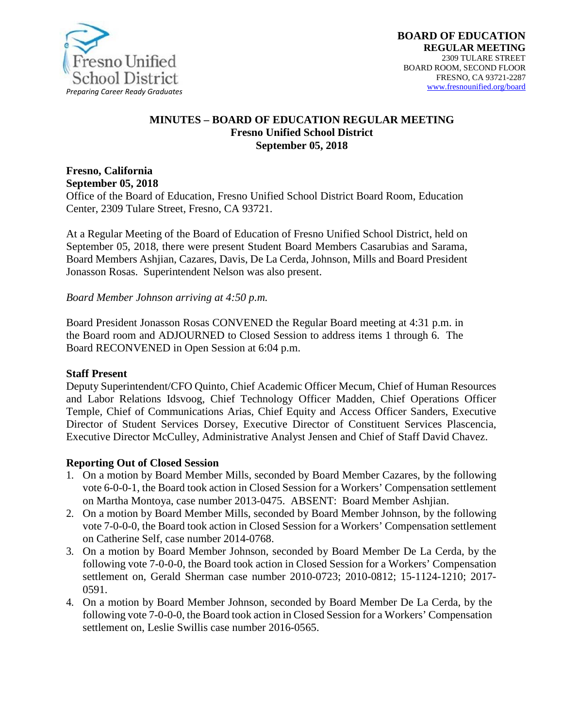

#### **MINUTES – BOARD OF EDUCATION REGULAR MEETING Fresno Unified School District September 05, 2018**

# **Fresno, California September 05, 2018**

Office of the Board of Education, Fresno Unified School District Board Room, Education Center, 2309 Tulare Street, Fresno, CA 93721.

At a Regular Meeting of the Board of Education of Fresno Unified School District, held on September 05, 2018, there were present Student Board Members Casarubias and Sarama, Board Members Ashjian, Cazares, Davis, De La Cerda, Johnson, Mills and Board President Jonasson Rosas. Superintendent Nelson was also present.

#### *Board Member Johnson arriving at 4:50 p.m.*

Board President Jonasson Rosas CONVENED the Regular Board meeting at 4:31 p.m. in the Board room and ADJOURNED to Closed Session to address items 1 through 6. The Board RECONVENED in Open Session at 6:04 p.m.

#### **Staff Present**

Deputy Superintendent/CFO Quinto, Chief Academic Officer Mecum, Chief of Human Resources and Labor Relations Idsvoog, Chief Technology Officer Madden, Chief Operations Officer Temple*,* Chief of Communications Arias, Chief Equity and Access Officer Sanders, Executive Director of Student Services Dorsey, Executive Director of Constituent Services Plascencia, Executive Director McCulley, Administrative Analyst Jensen and Chief of Staff David Chavez.

#### **Reporting Out of Closed Session**

- 1. On a motion by Board Member Mills, seconded by Board Member Cazares, by the following vote 6-0-0-1, the Board took action in Closed Session for a Workers' Compensation settlement on Martha Montoya, case number 2013-0475. ABSENT: Board Member Ashjian.
- 2. On a motion by Board Member Mills, seconded by Board Member Johnson, by the following vote 7-0-0-0, the Board took action in Closed Session for a Workers' Compensation settlement on Catherine Self, case number 2014-0768.
- 3. On a motion by Board Member Johnson, seconded by Board Member De La Cerda, by the following vote 7-0-0-0, the Board took action in Closed Session for a Workers' Compensation settlement on, Gerald Sherman case number 2010-0723; 2010-0812; 15-1124-1210; 2017- 0591.
- 4. On a motion by Board Member Johnson, seconded by Board Member De La Cerda, by the following vote 7-0-0-0, the Board took action in Closed Session for a Workers' Compensation settlement on, Leslie Swillis case number 2016-0565.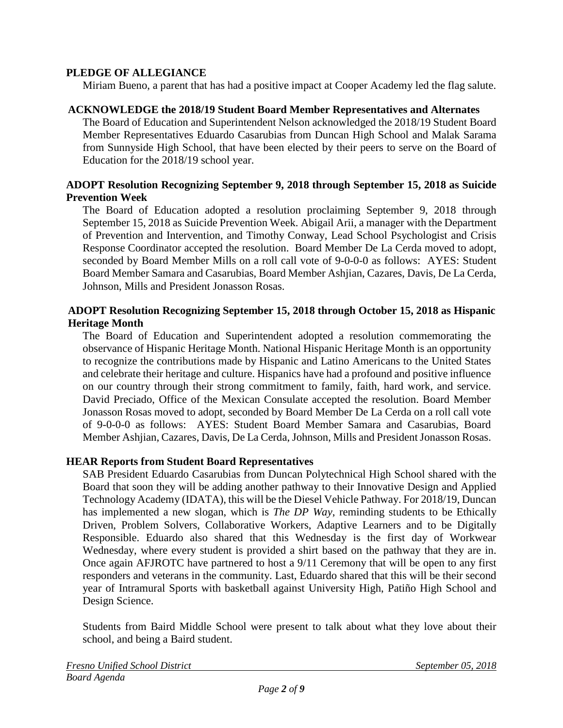## **PLEDGE OF ALLEGIANCE**

Miriam Bueno, a parent that has had a positive impact at Cooper Academy led the flag salute.

### **ACKNOWLEDGE the 2018/19 Student Board Member Representatives and Alternates**

The Board of Education and Superintendent Nelson acknowledged the 2018/19 Student Board Member Representatives Eduardo Casarubias from Duncan High School and Malak Sarama from Sunnyside High School, that have been elected by their peers to serve on the Board of Education for the 2018/19 school year.

## **ADOPT Resolution Recognizing September 9, 2018 through September 15, 2018 as Suicide Prevention Week**

The Board of Education adopted a resolution proclaiming September 9, 2018 through September 15, 2018 as Suicide Prevention Week. Abigail Arii, a manager with the Department of Prevention and Intervention, and Timothy Conway, Lead School Psychologist and Crisis Response Coordinator accepted the resolution. Board Member De La Cerda moved to adopt, seconded by Board Member Mills on a roll call vote of 9-0-0-0 as follows: AYES: Student Board Member Samara and Casarubias, Board Member Ashjian, Cazares, Davis, De La Cerda, Johnson, Mills and President Jonasson Rosas.

## **ADOPT Resolution Recognizing September 15, 2018 through October 15, 2018 as Hispanic Heritage Month**

The Board of Education and Superintendent adopted a resolution commemorating the observance of Hispanic Heritage Month. National Hispanic Heritage Month is an opportunity to recognize the contributions made by Hispanic and Latino Americans to the United States and celebrate their heritage and culture. Hispanics have had a profound and positive influence on our country through their strong commitment to family, faith, hard work, and service. David Preciado, Office of the Mexican Consulate accepted the resolution. Board Member Jonasson Rosas moved to adopt, seconded by Board Member De La Cerda on a roll call vote of 9-0-0-0 as follows: AYES: Student Board Member Samara and Casarubias, Board Member Ashjian, Cazares, Davis, De La Cerda, Johnson, Mills and President Jonasson Rosas.

## **HEAR Reports from Student Board Representatives**

SAB President Eduardo Casarubias from Duncan Polytechnical High School shared with the Board that soon they will be adding another pathway to their Innovative Design and Applied Technology Academy (IDATA), this will be the Diesel Vehicle Pathway. For 2018/19, Duncan has implemented a new slogan, which is *The DP Way*, reminding students to be Ethically Driven, Problem Solvers, Collaborative Workers, Adaptive Learners and to be Digitally Responsible. Eduardo also shared that this Wednesday is the first day of Workwear Wednesday, where every student is provided a shirt based on the pathway that they are in. Once again AFJROTC have partnered to host a 9/11 Ceremony that will be open to any first responders and veterans in the community. Last, Eduardo shared that this will be their second year of Intramural Sports with basketball against University High, Patiño High School and Design Science.

Students from Baird Middle School were present to talk about what they love about their school, and being a Baird student.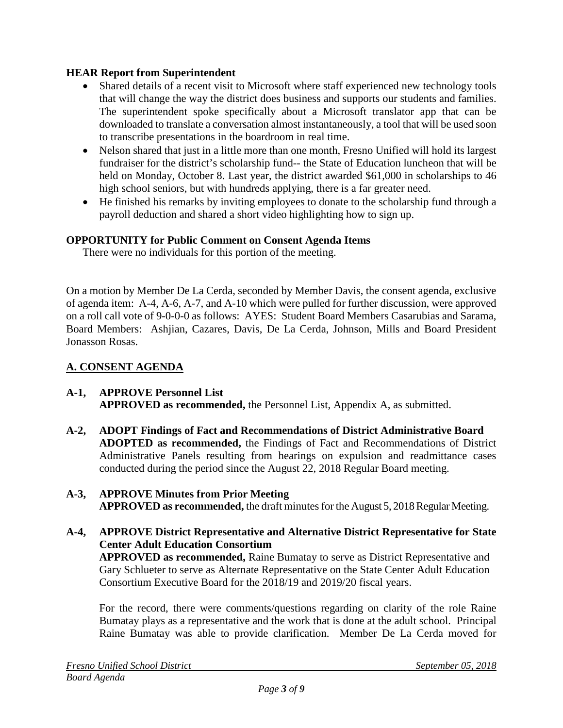# **HEAR Report from Superintendent**

- Shared details of a recent visit to Microsoft where staff experienced new technology tools that will change the way the district does business and supports our students and families. The superintendent spoke specifically about a Microsoft translator app that can be downloaded to translate a conversation almost instantaneously, a tool that will be used soon to transcribe presentations in the boardroom in real time.
- Nelson shared that just in a little more than one month, Fresno Unified will hold its largest fundraiser for the district's scholarship fund-- the State of Education luncheon that will be held on Monday, October 8. Last year, the district awarded \$61,000 in scholarships to 46 high school seniors, but with hundreds applying, there is a far greater need.
- He finished his remarks by inviting employees to donate to the scholarship fund through a payroll deduction and shared a short [video](https://na01.safelinks.protection.outlook.com/?url=https%3A%2F%2Fvimeo.com%2F288425476&data=02%7C01%7C%7C1cdb7c35028c46a64c8f08d613a8e352%7C74c9008303c6453a801c9251cdd17eb8%7C0%7C0%7C636718013498030525&sdata=C3ueCk1%2FDOxzIIuYGRSSET1JvHdWDpN5tZY9Rd1a2AY%3D&reserved=0) highlighting how to sign up.

# **OPPORTUNITY for Public Comment on Consent Agenda Items**

There were no individuals for this portion of the meeting.

On a motion by Member De La Cerda, seconded by Member Davis, the consent agenda, exclusive of agenda item: A-4, A-6, A-7, and A-10 which were pulled for further discussion, were approved on a roll call vote of 9-0-0-0 as follows: AYES: Student Board Members Casarubias and Sarama, Board Members: Ashjian, Cazares, Davis, De La Cerda, Johnson, Mills and Board President Jonasson Rosas.

# **A. CONSENT AGENDA**

#### **A-1, APPROVE Personnel List APPROVED as recommended,** the Personnel List, Appendix A, as submitted.

**A-2, ADOPT Findings of Fact and Recommendations of District Administrative Board ADOPTED as recommended,** the Findings of Fact and Recommendations of District Administrative Panels resulting from hearings on expulsion and readmittance cases conducted during the period since the August 22, 2018 Regular Board meeting.

## **A-3, APPROVE Minutes from Prior Meeting APPROVED** as recommended, the draft minutes for the August 5, 2018 Regular Meeting.

# **A-4, APPROVE District Representative and Alternative District Representative for State Center Adult Education Consortium APPROVED as recommended,** Raine Bumatay to serve as District Representative and Gary Schlueter to serve as Alternate Representative on the State Center Adult Education Consortium Executive Board for the 2018/19 and 2019/20 fiscal years.

For the record, there were comments/questions regarding on clarity of the role Raine Bumatay plays as a representative and the work that is done at the adult school. Principal Raine Bumatay was able to provide clarification. Member De La Cerda moved for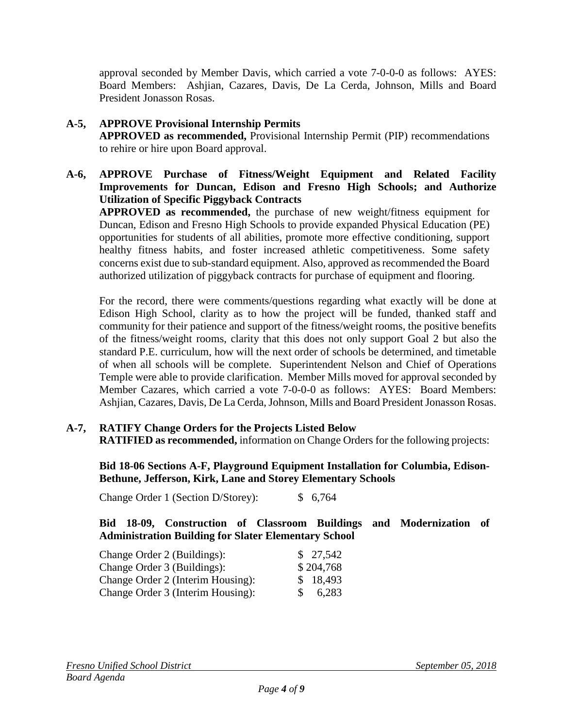approval seconded by Member Davis, which carried a vote 7-0-0-0 as follows: AYES: Board Members: Ashjian, Cazares, Davis, De La Cerda, Johnson, Mills and Board President Jonasson Rosas.

# **A-5, APPROVE Provisional Internship Permits**

**APPROVED as recommended,** Provisional Internship Permit (PIP) recommendations to rehire or hire upon Board approval.

**A-6, APPROVE Purchase of Fitness/Weight Equipment and Related Facility Improvements for Duncan, Edison and Fresno High Schools; and Authorize Utilization of Specific Piggyback Contracts**

**APPROVED as recommended,** the purchase of new weight/fitness equipment for Duncan, Edison and Fresno High Schools to provide expanded Physical Education (PE) opportunities for students of all abilities, promote more effective conditioning, support healthy fitness habits, and foster increased athletic competitiveness. Some safety concerns exist due to sub-standard equipment. Also, approved as recommended the Board authorized utilization of piggyback contracts for purchase of equipment and flooring.

For the record, there were comments/questions regarding what exactly will be done at Edison High School, clarity as to how the project will be funded, thanked staff and community for their patience and support of the fitness/weight rooms, the positive benefits of the fitness/weight rooms, clarity that this does not only support Goal 2 but also the standard P.E. curriculum, how will the next order of schools be determined, and timetable of when all schools will be complete. Superintendent Nelson and Chief of Operations Temple were able to provide clarification. Member Mills moved for approval seconded by Member Cazares, which carried a vote 7-0-0-0 as follows: AYES: Board Members: Ashjian, Cazares, Davis, De La Cerda, Johnson, Mills and Board President Jonasson Rosas.

**A-7, RATIFY Change Orders for the Projects Listed Below RATIFIED as recommended,** information on Change Orders for the following projects:

**Bid 18-06 Sections A-F, Playground Equipment Installation for Columbia, Edison-Bethune, Jefferson, Kirk, Lane and Storey Elementary Schools**

Change Order 1 (Section D/Storey): \$ 6,764

**Bid 18-09, Construction of Classroom Buildings and Modernization of Administration Building for Slater Elementary School** 

| Change Order 2 (Buildings):       |     | \$27,542  |
|-----------------------------------|-----|-----------|
| Change Order 3 (Buildings):       |     | \$204,768 |
| Change Order 2 (Interim Housing): |     | \$18,493  |
| Change Order 3 (Interim Housing): | SS. | 6,283     |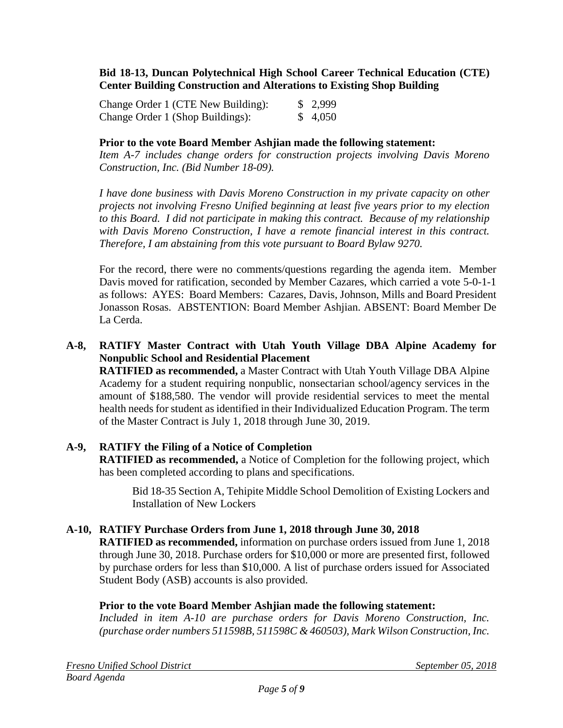#### **Bid 18-13, Duncan Polytechnical High School Career Technical Education (CTE) Center Building Construction and Alterations to Existing Shop Building**

| Change Order 1 (CTE New Building): | \$2,999 |
|------------------------------------|---------|
| Change Order 1 (Shop Buildings):   | \$4,050 |

#### **Prior to the vote Board Member Ashjian made the following statement:**

*Item A-7 includes change orders for construction projects involving Davis Moreno Construction, Inc. (Bid Number 18-09).*

*I have done business with Davis Moreno Construction in my private capacity on other projects not involving Fresno Unified beginning at least five years prior to my election to this Board. I did not participate in making this contract. Because of my relationship with Davis Moreno Construction, I have a remote financial interest in this contract. Therefore, I am abstaining from this vote pursuant to Board Bylaw 9270.*

For the record, there were no comments/questions regarding the agenda item. Member Davis moved for ratification, seconded by Member Cazares, which carried a vote 5-0-1-1 as follows: AYES: Board Members: Cazares, Davis, Johnson, Mills and Board President Jonasson Rosas. ABSTENTION: Board Member Ashjian. ABSENT: Board Member De La Cerda.

# **A-8, RATIFY Master Contract with Utah Youth Village DBA Alpine Academy for Nonpublic School and Residential Placement**

**RATIFIED as recommended,** a Master Contract with Utah Youth Village DBA Alpine Academy for a student requiring nonpublic, nonsectarian school/agency services in the amount of \$188,580. The vendor will provide residential services to meet the mental health needs for student as identified in their Individualized Education Program. The term of the Master Contract is July 1, 2018 through June 30, 2019.

## **A-9, RATIFY the Filing of a Notice of Completion**

**RATIFIED as recommended,** a Notice of Completion for the following project, which has been completed according to plans and specifications.

Bid 18-35 Section A, Tehipite Middle School Demolition of Existing Lockers and Installation of New Lockers

## **A-10, RATIFY Purchase Orders from June 1, 2018 through June 30, 2018**

**RATIFIED as recommended,** information on purchase orders issued from June 1, 2018 through June 30, 2018. Purchase orders for \$10,000 or more are presented first, followed by purchase orders for less than \$10,000. A list of purchase orders issued for Associated Student Body (ASB) accounts is also provided.

#### **Prior to the vote Board Member Ashjian made the following statement:**

*Included in item A-10 are purchase orders for Davis Moreno Construction, Inc. (purchase order numbers 511598B, 511598C & 460503), Mark Wilson Construction, Inc.*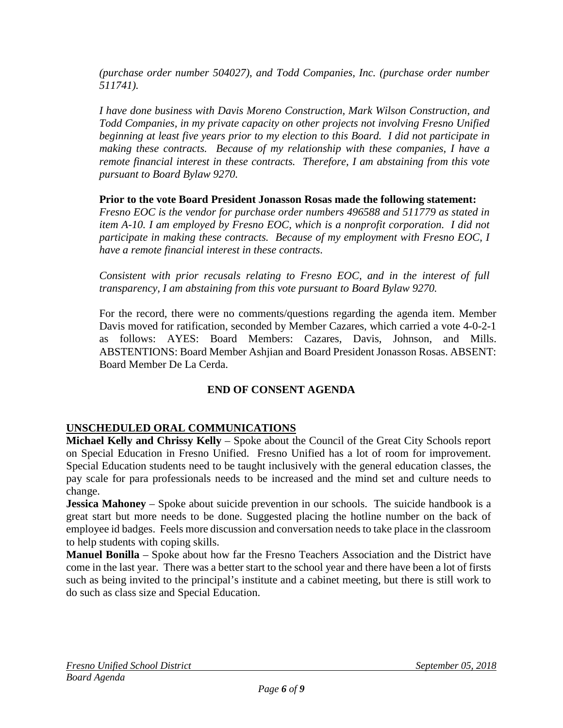*(purchase order number 504027), and Todd Companies, Inc. (purchase order number 511741).*

*I have done business with Davis Moreno Construction, Mark Wilson Construction, and Todd Companies, in my private capacity on other projects not involving Fresno Unified beginning at least five years prior to my election to this Board. I did not participate in making these contracts. Because of my relationship with these companies, I have a remote financial interest in these contracts. Therefore, I am abstaining from this vote pursuant to Board Bylaw 9270.*

**Prior to the vote Board President Jonasson Rosas made the following statement:**

*Fresno EOC is the vendor for purchase order numbers 496588 and 511779 as stated in item A-10. I am employed by Fresno EOC, which is a nonprofit corporation. I did not participate in making these contracts. Because of my employment with Fresno EOC, I have a remote financial interest in these contracts.* 

*Consistent with prior recusals relating to Fresno EOC, and in the interest of full transparency, I am abstaining from this vote pursuant to Board Bylaw 9270.*

For the record, there were no comments/questions regarding the agenda item. Member Davis moved for ratification, seconded by Member Cazares, which carried a vote 4-0-2-1 as follows: AYES: Board Members: Cazares, Davis, Johnson, and Mills. ABSTENTIONS: Board Member Ashjian and Board President Jonasson Rosas. ABSENT: Board Member De La Cerda.

# **END OF CONSENT AGENDA**

# **UNSCHEDULED ORAL COMMUNICATIONS**

**Michael Kelly and Chrissy Kelly** – Spoke about the Council of the Great City Schools report on Special Education in Fresno Unified. Fresno Unified has a lot of room for improvement. Special Education students need to be taught inclusively with the general education classes, the pay scale for para professionals needs to be increased and the mind set and culture needs to change.

**Jessica Mahoney** – Spoke about suicide prevention in our schools. The suicide handbook is a great start but more needs to be done. Suggested placing the hotline number on the back of employee id badges. Feels more discussion and conversation needs to take place in the classroom to help students with coping skills.

**Manuel Bonilla** – Spoke about how far the Fresno Teachers Association and the District have come in the last year. There was a better start to the school year and there have been a lot of firsts such as being invited to the principal's institute and a cabinet meeting, but there is still work to do such as class size and Special Education.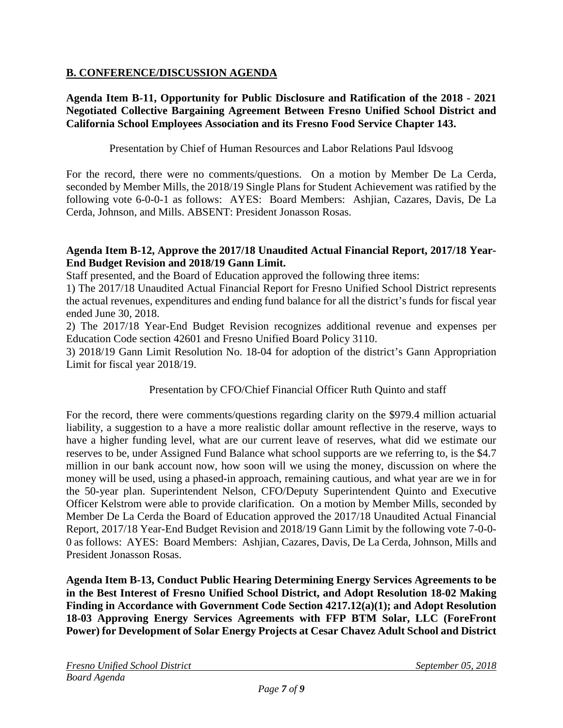# **B. CONFERENCE/DISCUSSION AGENDA**

## **Agenda Item B-11, Opportunity for Public Disclosure and Ratification of the 2018 - 2021 Negotiated Collective Bargaining Agreement Between Fresno Unified School District and California School Employees Association and its Fresno Food Service Chapter 143.**

Presentation by Chief of Human Resources and Labor Relations Paul Idsvoog

For the record, there were no comments/questions. On a motion by Member De La Cerda, seconded by Member Mills, the 2018/19 Single Plans for Student Achievement was ratified by the following vote 6-0-0-1 as follows: AYES: Board Members: Ashjian, Cazares, Davis, De La Cerda, Johnson, and Mills. ABSENT: President Jonasson Rosas.

## **Agenda Item B-12, Approve the 2017/18 Unaudited Actual Financial Report, 2017/18 Year-End Budget Revision and 2018/19 Gann Limit.**

Staff presented, and the Board of Education approved the following three items:

1) The 2017/18 Unaudited Actual Financial Report for Fresno Unified School District represents the actual revenues, expenditures and ending fund balance for all the district's funds for fiscal year ended June 30, 2018.

2) The 2017/18 Year-End Budget Revision recognizes additional revenue and expenses per Education Code section 42601 and Fresno Unified Board Policy 3110.

3) 2018/19 Gann Limit Resolution No. 18-04 for adoption of the district's Gann Appropriation Limit for fiscal year 2018/19.

Presentation by CFO/Chief Financial Officer Ruth Quinto and staff

For the record, there were comments/questions regarding clarity on the \$979.4 million actuarial liability, a suggestion to a have a more realistic dollar amount reflective in the reserve, ways to have a higher funding level, what are our current leave of reserves, what did we estimate our reserves to be, under Assigned Fund Balance what school supports are we referring to, is the \$4.7 million in our bank account now, how soon will we using the money, discussion on where the money will be used, using a phased-in approach, remaining cautious, and what year are we in for the 50-year plan. Superintendent Nelson, CFO/Deputy Superintendent Quinto and Executive Officer Kelstrom were able to provide clarification. On a motion by Member Mills, seconded by Member De La Cerda the Board of Education approved the 2017/18 Unaudited Actual Financial Report, 2017/18 Year-End Budget Revision and 2018/19 Gann Limit by the following vote 7-0-0- 0 as follows: AYES: Board Members: Ashjian, Cazares, Davis, De La Cerda, Johnson, Mills and President Jonasson Rosas.

**Agenda Item B-13, Conduct Public Hearing Determining Energy Services Agreements to be in the Best Interest of Fresno Unified School District, and Adopt Resolution 18-02 Making Finding in Accordance with Government Code Section 4217.12(a)(1); and Adopt Resolution 18-03 Approving Energy Services Agreements with FFP BTM Solar, LLC (ForeFront Power) for Development of Solar Energy Projects at Cesar Chavez Adult School and District**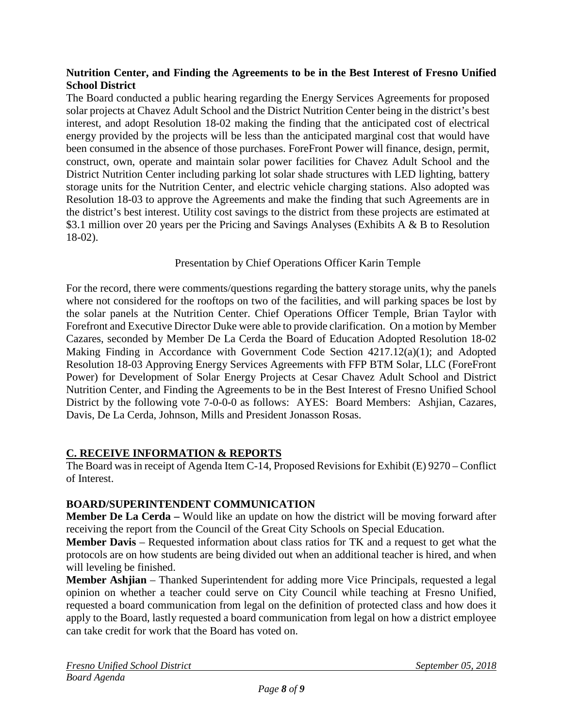## **Nutrition Center, and Finding the Agreements to be in the Best Interest of Fresno Unified School District**

The Board conducted a public hearing regarding the Energy Services Agreements for proposed solar projects at Chavez Adult School and the District Nutrition Center being in the district's best interest, and adopt Resolution 18-02 making the finding that the anticipated cost of electrical energy provided by the projects will be less than the anticipated marginal cost that would have been consumed in the absence of those purchases. ForeFront Power will finance, design, permit, construct, own, operate and maintain solar power facilities for Chavez Adult School and the District Nutrition Center including parking lot solar shade structures with LED lighting, battery storage units for the Nutrition Center, and electric vehicle charging stations. Also adopted was Resolution 18-03 to approve the Agreements and make the finding that such Agreements are in the district's best interest. Utility cost savings to the district from these projects are estimated at \$3.1 million over 20 years per the Pricing and Savings Analyses (Exhibits A & B to Resolution 18-02).

# Presentation by Chief Operations Officer Karin Temple

For the record, there were comments/questions regarding the battery storage units, why the panels where not considered for the rooftops on two of the facilities, and will parking spaces be lost by the solar panels at the Nutrition Center. Chief Operations Officer Temple, Brian Taylor with Forefront and Executive Director Duke were able to provide clarification. On a motion by Member Cazares, seconded by Member De La Cerda the Board of Education Adopted Resolution 18-02 Making Finding in Accordance with Government Code Section 4217.12(a)(1); and Adopted Resolution 18-03 Approving Energy Services Agreements with FFP BTM Solar, LLC (ForeFront Power) for Development of Solar Energy Projects at Cesar Chavez Adult School and District Nutrition Center, and Finding the Agreements to be in the Best Interest of Fresno Unified School District by the following vote 7-0-0-0 as follows: AYES: Board Members: Ashijan, Cazares, Davis, De La Cerda, Johnson, Mills and President Jonasson Rosas.

# **C. RECEIVE INFORMATION & REPORTS**

The Board was in receipt of Agenda Item C-14, Proposed Revisions for Exhibit (E) 9270 – Conflict of Interest.

## **BOARD/SUPERINTENDENT COMMUNICATION**

**Member De La Cerda –** Would like an update on how the district will be moving forward after receiving the report from the Council of the Great City Schools on Special Education.

**Member Davis** – Requested information about class ratios for TK and a request to get what the protocols are on how students are being divided out when an additional teacher is hired, and when will leveling be finished.

**Member Ashjian** – Thanked Superintendent for adding more Vice Principals, requested a legal opinion on whether a teacher could serve on City Council while teaching at Fresno Unified, requested a board communication from legal on the definition of protected class and how does it apply to the Board, lastly requested a board communication from legal on how a district employee can take credit for work that the Board has voted on.